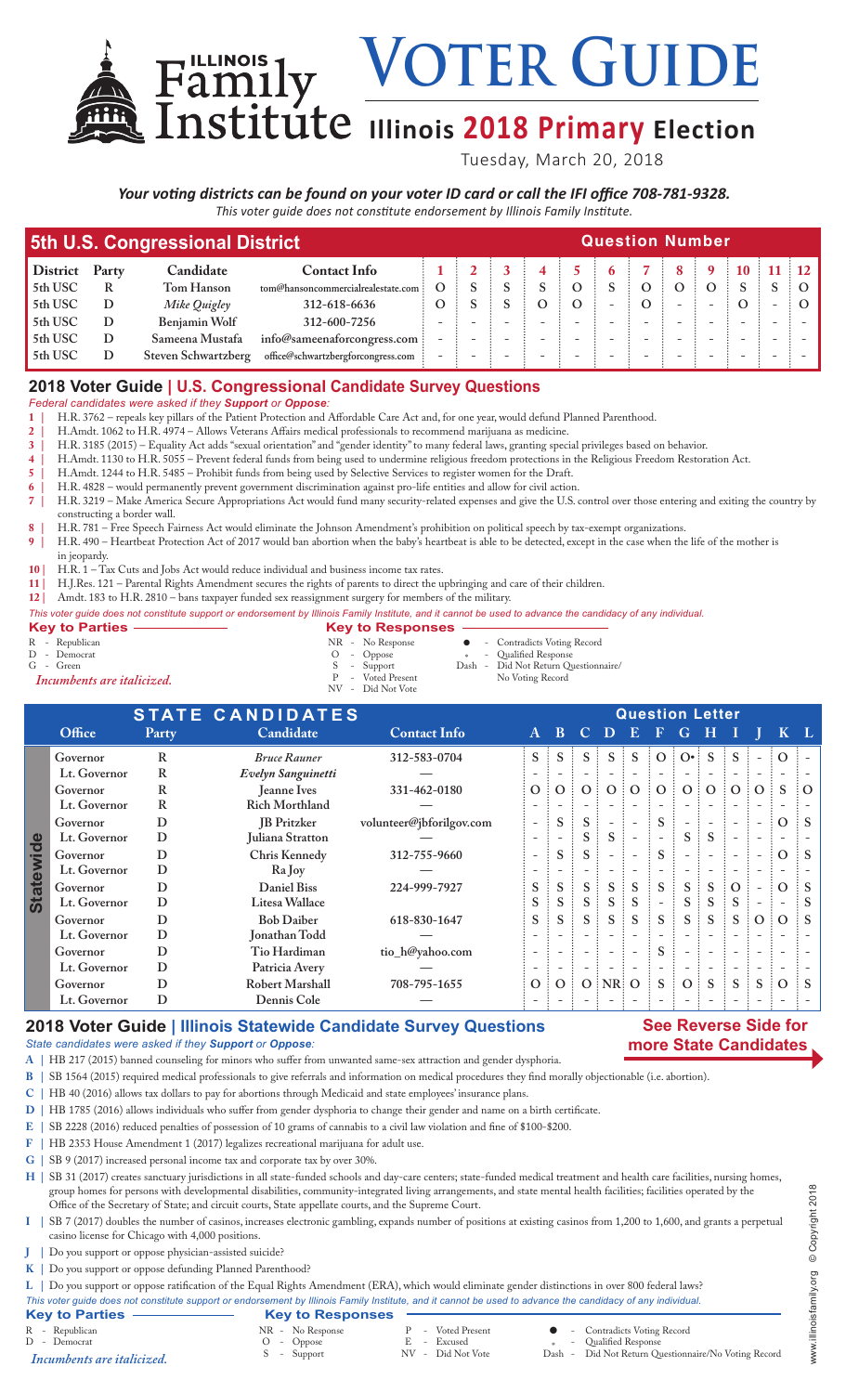VOTER GUIDE

# **ILLICE Illinois 2018 Primary Election**

Tuesday, March 20, 2018

## *Your voting districts can be found on your voter ID card or call the IFI office 708-781-9328.*

*This voter guide does not constitute endorsement by Illinois Family Institute.*

|                 |                                           | 5th U.S. Congressional District | <b>Question Number</b>              |  |  |  |  |  |  |  |   |  |                    |  |  |  |
|-----------------|-------------------------------------------|---------------------------------|-------------------------------------|--|--|--|--|--|--|--|---|--|--------------------|--|--|--|
| <b>District</b> | <b>Contact Info</b><br>Candidate<br>Party |                                 |                                     |  |  |  |  |  |  |  | 8 |  | $9 \t10 \t11 \t12$ |  |  |  |
| 5th USC         | R                                         | Tom Hanson                      | tom@hansoncommercialrealestate.com: |  |  |  |  |  |  |  |   |  |                    |  |  |  |
| 5th USC         | D                                         | Mike Quigley                    | 312-618-6636                        |  |  |  |  |  |  |  |   |  |                    |  |  |  |
| 5th USC         | D                                         | Benjamin Wolf                   | 312-600-7256                        |  |  |  |  |  |  |  |   |  |                    |  |  |  |
| 5th USC         | D                                         | Sameena Mustafa                 | info@sameenaforcongress.com         |  |  |  |  |  |  |  |   |  |                    |  |  |  |
| 5th USC         |                                           | Steven Schwartzberg             | office@schwartzbergforcongress.com  |  |  |  |  |  |  |  |   |  |                    |  |  |  |

#### **2018 Voter Guide | U.S. Congressional Candidate Survey Questions**

*Federal candidates were asked if they Support or Oppose:*

- **1 |** H.R. 3762 repeals key pillars of the Patient Protection and Affordable Care Act and, for one year, would defund Planned Parenthood.
- **2 |** H.Amdt. 1062 to H.R. 4974 Allows Veterans Affairs medical professionals to recommend marijuana as medicine.
- **3 |** H.R. 3185 (2015) Equality Act adds "sexual orientation" and "gender identity" to many federal laws, granting special privileges based on behavior.
- **4 |** H.Amdt. 1130 to H.R. 5055 Prevent federal funds from being used to undermine religious freedom protections in the Religious Freedom Restoration Act.
- **5 |** H.Amdt. 1244 to H.R. 5485 Prohibit funds from being used by Selective Services to register women for the Draft.

**6 |** H.R. 4828 – would permanently prevent government discrimination against pro-life entities and allow for civil action. **7 |** H.R. 3219 – Make America Secure Appropriations Act would fund many security-related expenses and give the U.S. control over those entering and exiting the country by constructing a border wall.

- **8 |** H.R. 781 Free Speech Fairness Act would eliminate the Johnson Amendment's prohibition on political speech by tax-exempt organizations.
- **9 |** H.R. 490 Heartbeat Protection Act of 2017 would ban abortion when the baby's heartbeat is able to be detected, except in the case when the life of the mother is
- in jeopardy.
- 10 | H.R. 1 Tax Cuts and Jobs Act would reduce individual and business income tax rates.<br> **11** | H.I.Res. 121 Parental Rights Amendment secures the rights of parents to direct the u

Family

- **11 |** H.J.Res. 121 Parental Rights Amendment secures the rights of parents to direct the upbringing and care of their children.
- **12 |** Amdt. 183 to H.R. 2810 bans taxpayer funded sex reassignment surgery for members of the military.

| This voter guide does not constitute support or endorsement by Illinois Family Institute, and it cannot be used to advance the candidacy of any individual. |                           |                           |
|-------------------------------------------------------------------------------------------------------------------------------------------------------------|---------------------------|---------------------------|
| Key to Parties -                                                                                                                                            | <b>Key to Responses -</b> |                           |
| D D <sub>opublican</sub>                                                                                                                                    | ND No Demonse             | Controdicts Voting Desert |

R - Republican NR - No Response l - Contradicts Voting Record N C - Neptunkant<br>
D - Democrat O - Oppose<br>
G - Green<br> **Incumbents are italicized.**<br>
P - Voted Present S - Support Dash - Did Not Return Questionnaire/<br>P - Voted Present No Voting Record P - Voted Present No Voting Record *Incumbents are italicized.* P - Voted Present<br>NV - Did Not Vote

|                  | <b>STATE CANDIDATES</b> |       |                       |                          |                          | <b>Question Letter</b>   |                     |                          |                          |                          |                          |              |                          |                          |                |                 |  |  |
|------------------|-------------------------|-------|-----------------------|--------------------------|--------------------------|--------------------------|---------------------|--------------------------|--------------------------|--------------------------|--------------------------|--------------|--------------------------|--------------------------|----------------|-----------------|--|--|
|                  | Office                  | Party | Candidate             | <b>Contact Info</b>      | $\mathbf{A}$             | <sup>B</sup>             | $\mathbf C$         | D.                       | $\bigoplus$              | F.                       | G                        | H            |                          |                          |                | KL.             |  |  |
|                  | Governor                | R     | <b>Bruce Rauner</b>   | 312-583-0704             | $S \nightharpoonup$      | S                        | $S \nightharpoonup$ | $S \vdash$               | $S$ :                    |                          | $O:O^{\bullet}$ :        | <sub>S</sub> | S.                       | $-$                      | $\Omega$       |                 |  |  |
|                  | Lt. Governor            | R     | Evelyn Sanguinetti    |                          |                          |                          |                     |                          |                          |                          |                          |              |                          |                          |                |                 |  |  |
|                  | Governor                | R     | Jeanne Ives           | 331-462-0180             | O:                       | $\Omega$                 | O:                  | 0:0                      |                          | O:                       | O <sub>1</sub>           | $\Omega$     | $\vdots$ O $\vdots$      | $\Omega$                 | <sub>S</sub>   | $\partial$      |  |  |
|                  | Lt. Governor            | R     | <b>Rich Morthland</b> |                          |                          |                          |                     |                          |                          |                          |                          |              |                          |                          |                |                 |  |  |
| <b>Statewide</b> | Governor                | D     | <b>IB</b> Pritzker    | volunteer@jbforilgov.com | $\overline{\phantom{0}}$ | S                        | S:                  |                          |                          | S                        |                          |              |                          | $\overline{\phantom{a}}$ | $\Omega$       | $\frac{1}{2}$ S |  |  |
|                  | Lt. Governor            | D     | Juliana Stratton      |                          | $\overline{\phantom{a}}$ | $\overline{\phantom{0}}$ |                     | S.                       | $\overline{\phantom{a}}$ |                          | S.                       | <sub>S</sub> | $\overline{\phantom{0}}$ | $\overline{\phantom{a}}$ |                |                 |  |  |
|                  | Governor                | D     | Chris Kennedy         | 312-755-9660             | $\overline{\phantom{0}}$ | S                        | S                   | $\overline{\phantom{a}}$ | $\overline{\phantom{a}}$ | S                        | $\overline{\phantom{a}}$ |              |                          |                          | $\Omega$       | $\therefore$ S  |  |  |
|                  | Lt. Governor            | D     | Ra Joy                |                          |                          |                          |                     |                          |                          |                          |                          |              |                          |                          |                |                 |  |  |
|                  | Governor                | D     | <b>Daniel Biss</b>    | 224-999-7927             | S                        | S                        | S                   | S                        | S                        | S.                       | S.                       | S            | $\Omega$                 |                          | $\Omega$       | $\mathbf{S}$    |  |  |
|                  | Lt. Governor            | D     | Litesa Wallace        |                          | S                        | S                        | S.                  | S                        | S                        | $\overline{\phantom{a}}$ | S.                       | S            | S                        | $\overline{\phantom{a}}$ |                | ΞS              |  |  |
|                  | Governor                | D     | <b>Bob Daiber</b>     | 618-830-1647             | S.                       | S                        | $S$ :               | S.                       | S                        | $S$ :                    | $S$ :                    | S            | $S$ :                    | $\Omega$                 | $\overline{O}$ | $\vdots$ S      |  |  |
|                  | Lt. Governor            | D     | Jonathan Todd         |                          |                          |                          |                     |                          | $\overline{\phantom{a}}$ |                          | $\overline{\phantom{a}}$ |              |                          |                          |                |                 |  |  |
|                  | Governor                | D     | Tio Hardiman          | tio_h@yahoo.com          | $\overline{\phantom{a}}$ | $\overline{\phantom{a}}$ |                     | $\overline{\phantom{a}}$ | $\overline{\phantom{a}}$ | S                        | $\overline{\phantom{a}}$ |              |                          |                          |                |                 |  |  |
|                  | Lt. Governor            | D     | Patricia Avery        |                          | $\overline{\phantom{a}}$ | $\overline{\phantom{a}}$ |                     | $\overline{\phantom{a}}$ | $\overline{\phantom{a}}$ | $\overline{\phantom{a}}$ | $\overline{\phantom{a}}$ |              |                          |                          |                |                 |  |  |
|                  | Governor                | D     | Robert Marshall       | 708-795-1655             | $\overline{O}$ :         | $\Omega$                 |                     | $O$ : NR: O              |                          | S                        | O:                       | <sub>S</sub> | $S$ :                    | S                        | $\overline{O}$ | $\vdots$ S      |  |  |
|                  | Lt. Governor            | D     | Dennis Cole           |                          |                          |                          |                     |                          |                          |                          |                          |              |                          |                          |                |                 |  |  |

### **2018 Voter Guide | Illinois Statewide Candidate Survey Questions**

#### **See Reverse Side for more State Candidates**

*State candidates were asked if they Support or Oppose:*

- **A |** HB 217 (2015) banned counseling for minors who suffer from unwanted same-sex attraction and gender dysphoria.
- **B |** SB 1564 (2015) required medical professionals to give referrals and information on medical procedures they find morally objectionable (i.e. abortion).
- **C |** HB 40 (2016) allows tax dollars to pay for abortions through Medicaid and state employees' insurance plans.
- **D |** HB 1785 (2016) allows individuals who suffer from gender dysphoria to change their gender and name on a birth certificate.
- **E |** SB 2228 (2016) reduced penalties of possession of 10 grams of cannabis to a civil law violation and fine of \$100-\$200.
- **F |** HB 2353 House Amendment 1 (2017) legalizes recreational marijuana for adult use.
- **G |** SB 9 (2017) increased personal income tax and corporate tax by over 30%.

H | SB 31 (2017) creates sanctuary jurisdictions in all state-funded schools and day-care centers; state-funded medical treatment and health care facilities, nursing homes, group homes for persons with developmental disabilities, community-integrated living arrangements, and state mental health facilities; facilities operated by the Office of the Secretary of State; and circuit courts, State appellate courts, and the Supreme Court.

- **I |** SB 7 (2017) doubles the number of casinos, increases electronic gambling, expands number of positions at existing casinos from 1,200 to 1,600, and grants a perpetual casino license for Chicago with 4,000 positions.
- **J |** Do you support or oppose physician-assisted suicide?
- **K |** Do you support or oppose defunding Planned Parenthood?

**L |** Do you support or oppose ratification of the Equal Rights Amendment (ERA), which would eliminate gender distinctions in over 800 federal laws?

- 
- *This voter guide does not constitute support or endorsement by Illinois Family Institute, and it cannot be used to advance the candidacy of any individual.* **Key to Parties Key to Responses**<br>
R - Republican<br>
D - Democrat<br>
Incumbents are italicized.<br>
S - Support R - Voted Present **C** - Contradicts Voting Record<br>
R - Excused \* - Qualified Response<br>
NR - Did Not Vote Dash - Did Not Return Questionn <sup>D</sup> - Democrat <sup>O</sup> - Oppose <sup>E</sup> - Excused \* - Qualified Response S - Support NV - Did Not Vote Dash - Did Not Return Questionnaire/No Voting Record *Incumbents are italicized.*